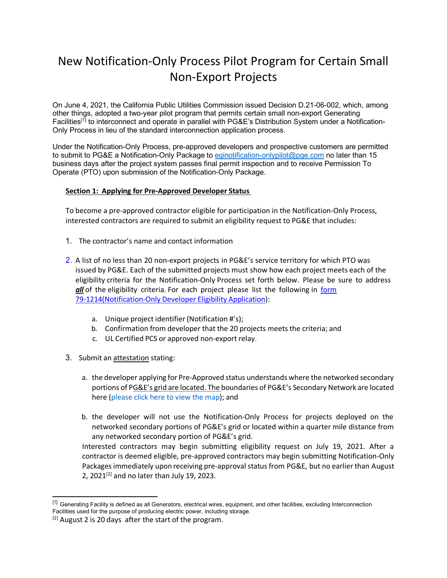# New Notification-Only Process Pilot Program for Certain Small Non-Export Projects

On June 4, 2021, the California Public Utilities Commission issued Decision D.21-06-002, which, among other things, adopted a two-year pilot program that permits certain small non-export Generating Facilities[1] to interconnect and operate in parallel with PG&E's Distribution System under a Notification-Only Process in lieu of the standard interconnection application process.

Under the Notification-Only Process, pre-approved developers and prospective customers are permitted to submit to PG&E a Notification-Only Package to [eginotification-onlypilot@pge.com](mailto:eginotification-onlypilot@pge.com) no later than 15 business days after the project system passes final permit inspection and to receive Permission To Operate (PTO) upon submission of the Notification-Only Package.

## **Section 1: Applying for Pre-Approved Developer Status**

To become a pre-approved contractor eligible for participation in the Notification-Only Process, interested contractors are required to submit an eligibility request to PG&E that includes:

- 1. The contractor's name and contact information
- 2. A list of no less than 20 non-export projects in PG&E's service territory for which PTO was issued by PG&E. Each of the submitted projects must show how each project meets each of the eligibility criteria for the Notification-Only Process set forth below. Please be sure to address *all* of the eligibility criteria. For each project please list the following in form [79-1214\(Notification-Only](https://www.pge.com/pge_global/common/pdfs/for-our-business-partners/interconnection-renewables/Form_79-1214-Notification-Only-Developer-Eligibility-Application.pdf) Developer Eligibility Application):
	- a. Unique project identifier(Notification #'s);
	- b. Confirmation from developer that the 20 projects meets the criteria; and
	- c. UL Certified PCS or approved non-export relay.
- 3. Submit an attestation stating:
	- a. the developer applying for Pre-Approved status understands where the networked secondary portions of PG&E's grid are located. The boundaries of PG&E's Secondary Network are located here (please click here to [view the](https://www.pge.com/en_US/for-our-business-partners/distribution-resource-planning/distribution-resource-planning-data-portal.page?ctx=large-business) map); and
	- b. the developer will not use the Notification-Only Process for projects deployed on the networked secondary portions of PG&E's grid or located within a quarter mile distance from any networked secondary portion of PG&E's grid.

Interested contractors may begin submitting eligibility request on July 19, 2021. After a contractor is deemed eligible, pre-approved contractors may begin submitting Notification-Only Packages immediately upon receiving pre-approval status from PG&E, but no earlier than August 2, 2021 $[2]$  and no later than July 19, 2023.

<sup>&</sup>lt;sup>[1]</sup> Generating Facility is defined as all Generators, electrical wires, equipment, and other facilities, excluding Interconnection Facilities used for the purpose of producing electric power, including storage.

 $[2]$  August 2 is 20 days after the start of the program.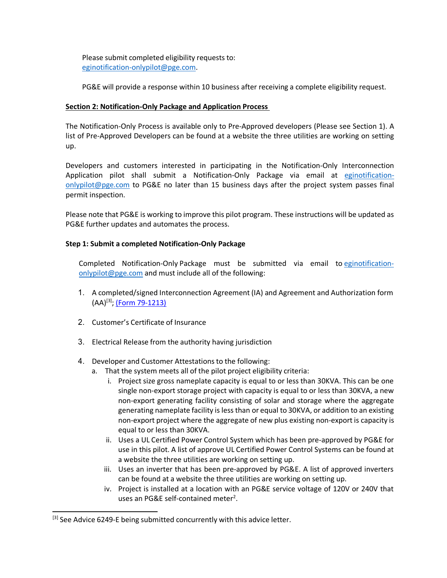Please submit completed eligibility requests to: [eginotification-onlypilot@pge.com.](mailto:eginotification-onlypilot@pge.com)

PG&E will provide a response within 10 business after receiving a complete eligibility request.

## **Section 2: Notification-Only Package and Application Process**

The Notification-Only Process is available only to Pre-Approved developers (Please see Section 1). A list of Pre-Approved Developers can be found at a website the three utilities are working on setting up.

Developers and customers interested in participating in the Notification-Only Interconnection Application pilot shall submit a Notification-Only Package via email at [eginotification](mailto:eginotification-onlypilot@pge.com)[onlypilot@pge.com](mailto:eginotification-onlypilot@pge.com) to PG&E no later than 15 business days after the project system passes final permit inspection.

Please note that PG&E is working to improve this pilot program. These instructions will be updated as PG&E further updates and automates the process.

## **Step 1: Submit a completed Notification-Only Package**

Completed Notification-Only Package must be submitted via email to [eginotification](mailto:eginotification-onlypilot@pge.com)[onlypilot@pge.com](mailto:eginotification-onlypilot@pge.com) and must include all of the following:

- 1. A completed/signed Interconnection Agreement (IA) and Agreement and Authorization form  $(AA)^{[3]}$ ; (Form [79-1213\)](https://www.pge.com/pge_global/common/pdfs/for-our-business-partners/interconnection-renewables/Form_9-1213-Agmt-and-Cust-Auth-Non-Export-Gen-Facility-Sized-30 kW-or-Less.pdf)
- 2. Customer's Certificate of Insurance
- 3. Electrical Release from the authority having jurisdiction
- 4. Developer and Customer Attestations to the following:
	- a. That the system meets all of the pilot project eligibility criteria:
		- i. Project size gross nameplate capacity is equal to or less than 30KVA. This can be one single non-export storage project with capacity is equal to or less than 30KVA, a new non-export generating facility consisting of solar and storage where the aggregate generating nameplate facility is less than or equal to 30KVA, or addition to an existing non-export project where the aggregate of new plus existing non-export is capacity is equal to or less than 30KVA.
		- ii. Uses a UL Certified Power Control System which has been pre-approved by PG&E for use in this pilot. A list of approve UL Certified Power Control Systems can be found at a website the three utilities are working on setting up.
		- iii. Uses an inverter that has been pre-approved by PG&E. A list of approved inverters can be found at a website the three utilities are working on setting up.
		- iv. Project is installed at a location with an PG&E service voltage of 120V or 240V that uses an PG&E self-contained meter<sup>2</sup>.

<sup>[3]</sup> See Advice 6249-E being submitted concurrently with this advice letter.